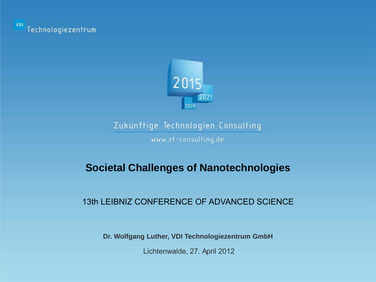



www.zt-consulting.de

# **Societal Challenges of Nanotechnologies**

#### 13th LEIBNIZ CONFERENCE OF ADVANCED SCIENCE

**Dr. Wolfgang Luther, VDI Technologiezentrum GmbH**

Lichtenwalde, 27. April 2012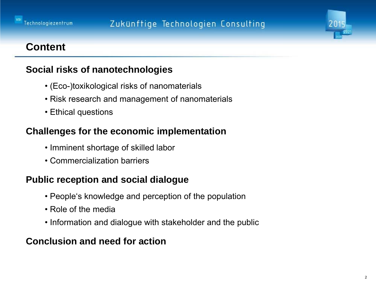



#### **Content**

#### **Social risks of nanotechnologies**

- (Eco-)toxikological risks of nanomaterials
- Risk research and management of nanomaterials
- Ethical questions

#### **Challenges for the economic implementation**

- Imminent shortage of skilled labor
- Commercialization barriers

#### **Public reception and social dialogue**

- People's knowledge and perception of the population
- Role of the media
- Information and dialogue with stakeholder and the public

#### **Conclusion and need for action**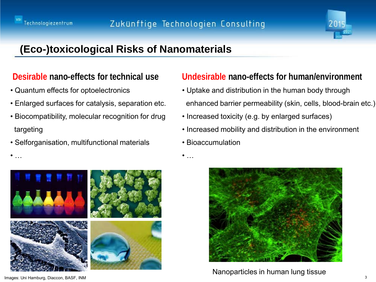

# **(Eco-)toxicological Risks of Nanomaterials**

#### **Desirable nano-effects for technical use**

- Quantum effects for optoelectronics
- Enlarged surfaces for catalysis, separation etc.
- Biocompatibility, molecular recognition for drug targeting
- Selforganisation, multifunctional materials



#### **Undesirable nano-effects for human/environment**

- Uptake and distribution in the human body through enhanced barrier permeability (skin, cells, blood-brain etc.)
- Increased toxicity (e.g. by enlarged surfaces)
- Increased mobility and distribution in the environment
- Bioaccumulation

 $\bullet$  ...



Nanoparticles in human lung tissue

3 Images: Uni Hamburg, Diaccon, BASF, INM

 $\bullet$  ...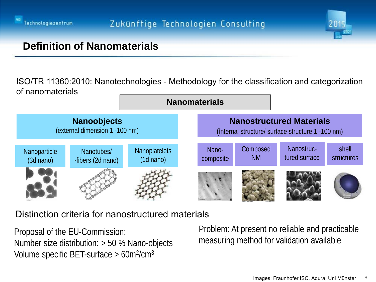



## **Definition of Nanomaterials**

ISO/TR 11360:2010: Nanotechnologies - Methodology for the classification and categorization of nanomaterials



#### Distinction criteria for nanostructured materials

Proposal of the EU-Commission: Number size distribution: > 50 % Nano-objects Volume specific BET-surface  $> 60$ m<sup>2</sup>/cm<sup>3</sup>

Problem: At present no reliable and practicable measuring method for validation available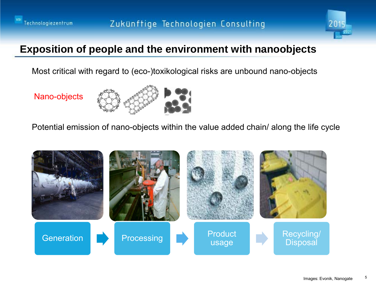



# **Exposition of people and the environment with nanoobjects**

Most critical with regard to (eco-)toxikological risks are unbound nano-objects

Nano-objects



Potential emission of nano-objects within the value added chain/ along the life cycle

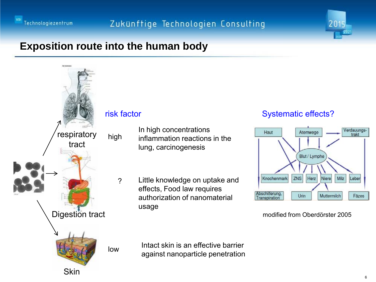



# **Exposition route into the human body**



In high concentrations inflammation reactions in the lung, carcinogenesis

Little knowledge on uptake and effects, Food law requires authorization of nanomaterial usage

#### Systematic effects?



modified from Oberdörster 2005

Intact skin is an effective barrier against nanoparticle penetration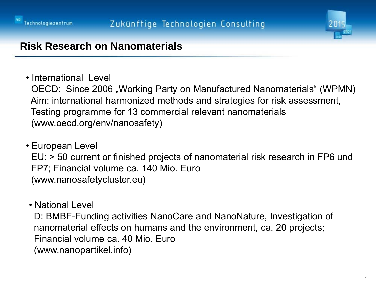



# **Risk Research on Nanomaterials**

• International Level

OECD: Since 2006 "Working Party on Manufactured Nanomaterials" (WPMN) Aim: international harmonized methods and strategies for risk assessment, Testing programme for 13 commercial relevant nanomaterials (www.oecd.org/env/nanosafety)

- European Level EU: > 50 current or finished projects of nanomaterial risk research in FP6 und FP7; Financial volume ca. 140 Mio. Euro (www.nanosafetycluster.eu)
- National Level

 D: BMBF-Funding activities NanoCare and NanoNature, Investigation of nanomaterial effects on humans and the environment, ca. 20 projects; Financial volume ca. 40 Mio. Euro (www.nanopartikel.info)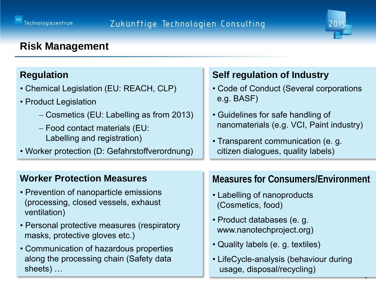

8

# **Risk Management**

#### **Regulation**

- Chemical Legislation (EU: REACH, CLP)
- Product Legislation
	- − Cosmetics (EU: Labelling as from 2013)
	- − Food contact materials (EU: Labelling and registration)
- Worker protection (D: Gefahrstoffverordnung)

# **Self regulation of Industry**

- Code of Conduct (Several corporations e.g. BASF)
- Guidelines for safe handling of nanomaterials (e.g. VCI, Paint industry)
- Transparent communication (e. g. citizen dialogues, quality labels)

#### **Worker Protection Measures**

- Prevention of nanoparticle emissions (processing, closed vessels, exhaust ventilation)
- Personal protective measures (respiratory masks, protective gloves etc.)
- Communication of hazardous properties along the processing chain (Safety data sheets) …

#### **Measures for Consumers/Environment**

- Labelling of nanoproducts (Cosmetics, food)
- Product databases (e. g. www.nanotechproject.org)
- Quality labels (e. g. textiles)
- LifeCycle-analysis (behaviour during usage, disposal/recycling)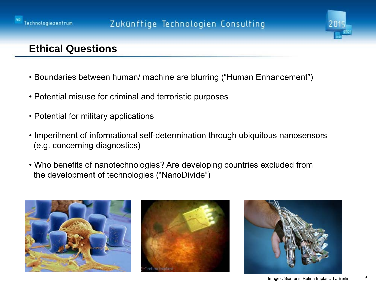



# **Ethical Questions**

- Boundaries between human/ machine are blurring ("Human Enhancement")
- Potential misuse for criminal and terroristic purposes
- Potential for military applications
- Imperilment of informational self-determination through ubiquitous nanosensors (e.g. concerning diagnostics)
- Who benefits of nanotechnologies? Are developing countries excluded from the development of technologies ("NanoDivide")







9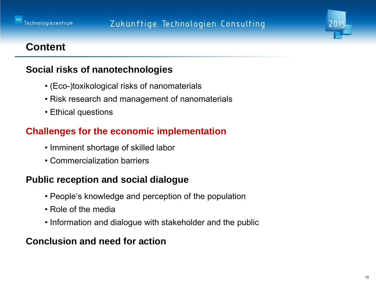



#### **Content**

#### **Social risks of nanotechnologies**

- (Eco-)toxikological risks of nanomaterials
- Risk research and management of nanomaterials
- Ethical questions

#### **Challenges for the economic implementation**

- Imminent shortage of skilled labor
- Commercialization barriers

#### **Public reception and social dialogue**

- People's knowledge and perception of the population
- Role of the media
- Information and dialogue with stakeholder and the public

#### **Conclusion and need for action**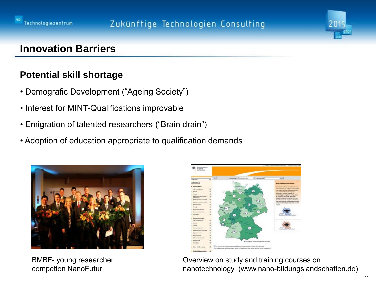



# **Innovation Barriers**

#### **Potential skill shortage**

- Demografic Development ("Ageing Society")
- Interest for MINT-Qualifications improvable
- Emigration of talented researchers ("Brain drain")
- Adoption of education appropriate to qualification demands



BMBF- young researcher competion NanoFutur



Overview on study and training courses on nanotechnology (www.nano-bildungslandschaften.de)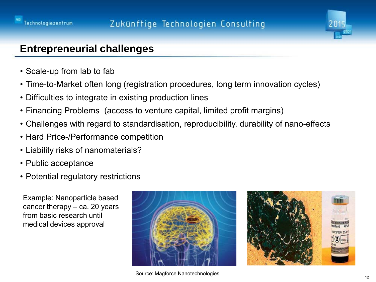



## **Entrepreneurial challenges**

- Scale-up from lab to fab
- Time-to-Market often long (registration procedures, long term innovation cycles)
- Difficulties to integrate in existing production lines
- Financing Problems (access to venture capital, limited profit margins)
- Challenges with regard to standardisation, reproducibility, durability of nano-effects
- Hard Price-/Performance competition
- Liability risks of nanomaterials?
- Public acceptance
- Potential regulatory restrictions

Example: Nanoparticle based cancer therapy – ca. 20 years from basic research until medical devices approval





Source: Magforce Nanotechnologies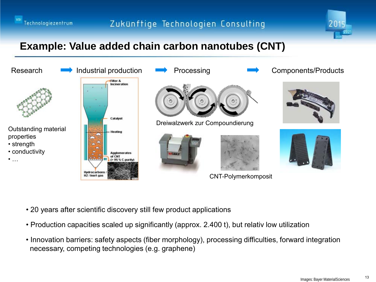



# **Example: Value added chain carbon nanotubes (CNT)**



- 20 years after scientific discovery still few product applications
- Production capacities scaled up significantly (approx. 2.400 t), but relativ low utilization
- Innovation barriers: safety aspects (fiber morphology), processing difficulties, forward integration necessary, competing technologies (e.g. graphene)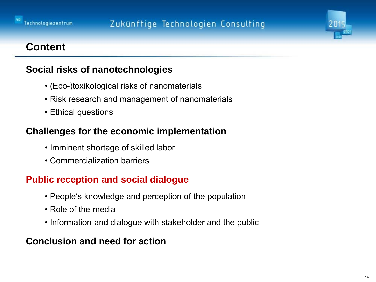



#### **Content**

#### **Social risks of nanotechnologies**

- (Eco-)toxikological risks of nanomaterials
- Risk research and management of nanomaterials
- Ethical questions

#### **Challenges for the economic implementation**

- Imminent shortage of skilled labor
- Commercialization barriers

#### **Public reception and social dialogue**

- People's knowledge and perception of the population
- Role of the media
- Information and dialogue with stakeholder and the public

#### **Conclusion and need for action**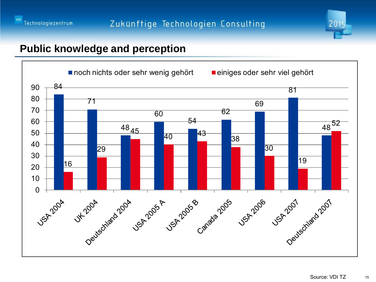



## **Public knowledge and perception**

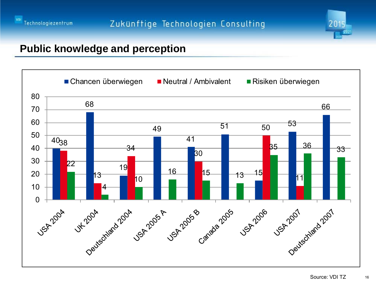



# **Public knowledge and perception**

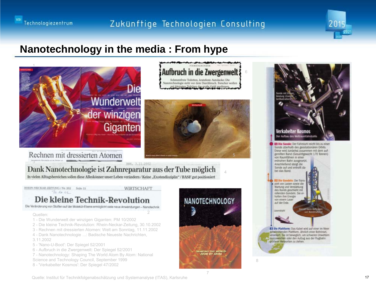



## **Nanotechnology in the media : From hype**



#### Rechnen mit dressierten Atomen

3 BNN, 3.11.2002 Dank Nanotechnologie ist Zahnreparatur aus der Tube möglich In vielen Alltagsbereichen sollen diese Alleskönner unser Leben verändern / Keine "Exotendisziplin" / BASF gut positioniert

RHEIN-NECKAR-ZEITUNG / Nr. 252 Seite 15  $70$  de  $01$ 

**WIRTSCHAFT** 

2

#### Die kleine Technik-Revolution

Die Veränderung von Stoffen auf der Molekül-Ebene ermöglicht viele neue Anwendungen - Nanotechnik

#### Quellen:

- 1 Die Wunderwelt der winzigen Giganten: PM 10/2002
- 2 Die kleine Technik-Revolution: Rhein-Neckar-Zeitung, 30.10.2002
- 3 Rechnen mit dressierten Atomen: Welt am Sonntag, 11.11.2002
- 4 Dank Nanotechnologie ...: Badische Neueste Nachrichten, 3.11.2002
- 5 'Nano-U-Boot': Der Spiegel 52/2001
- 6 Aufbruch in die Zwergenwelt: Der Spiegel 52/2001
- 7 Nanotechnology: Shaping The World Atom By Atom: National
- Science and Technology Council, September 1999
- 8 'Verkabelter Kosmos': Der Spiegel 47/2002



4

6



Quelle: Institut für Technikfolgenabschätzung und Systemanalyse (ITAS), Karlsruhe 17 minutes 17 minutes 17 minutes 17 minutes 17 minutes 17 minutes 17 minutes 17 minutes 17 minutes 17 minutes 17 minutes 17 minutes 17 minut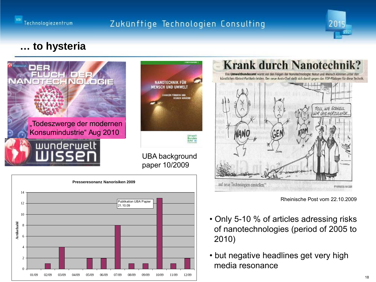



# **… to hysteria**







Rheinische Post vom 22.10.2009

- Only 5-10 % of articles adressing risks of nanotechnologies (period of 2005 to 2010)
- but negative headlines get very high media resonance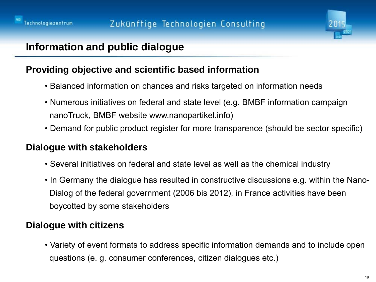

# **Information and public dialogue**

#### **Providing objective and scientific based information**

- Balanced information on chances and risks targeted on information needs
- Numerous initiatives on federal and state level (e.g. BMBF information campaign nanoTruck, BMBF website www.nanopartikel.info)
- Demand for public product register for more transparence (should be sector specific)

#### **Dialogue with stakeholders**

- Several initiatives on federal and state level as well as the chemical industry
- In Germany the dialogue has resulted in constructive discussions e.g. within the Nano- Dialog of the federal government (2006 bis 2012), in France activities have been boycotted by some stakeholders

# **Dialogue with citizens**

• Variety of event formats to address specific information demands and to include open questions (e. g. consumer conferences, citizen dialogues etc.)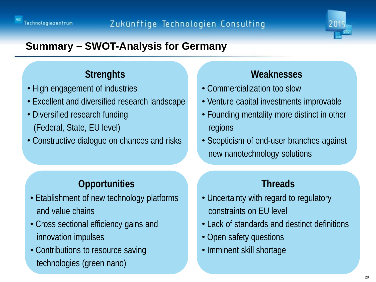



# **Summary – SWOT-Analysis for Germany**

# **Strenghts**

- High engagement of industries
- Excellent and diversified research landscape
- Diversified research funding (Federal, State, EU level)
- Constructive dialogue on chances and risks

# **Weaknesses**

- Commercialization too slow
- Venture capital investments improvable
- Founding mentality more distinct in other regions
- Scepticism of end-user branches against new nanotechnology solutions

# **Opportunities**

- Etablishment of new technology platforms and value chains
- Cross sectional efficiency gains and innovation impulses
- Contributions to resource saving technologies (green nano)

## **Threads**

- Uncertainty with regard to regulatory constraints on EU level
- Lack of standards and destinct definitions
- Open safety questions
- Imminent skill shortage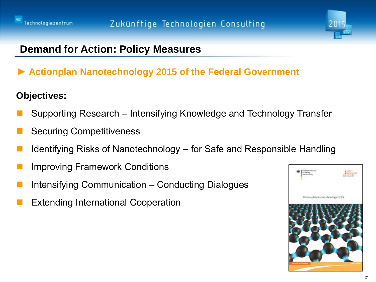



# **Demand for Action: Policy Measures**

► **Actionplan Nanotechnology 2015 of the Federal Government** 

#### **Objectives:**

- Supporting Research Intensifying Knowledge and Technology Transfer
- Securing Competitiveness
- Identifying Risks of Nanotechnology for Safe and Responsible Handling
- Improving Framework Conditions
- Intensifying Communication Conducting Dialogues
- Extending International Cooperation

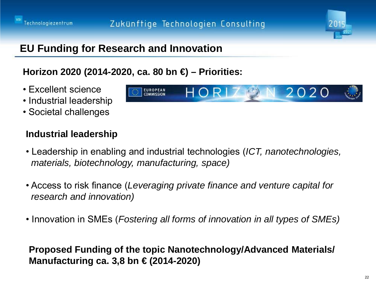



2020

# **EU Funding for Research and Innovation**

## **Horizon 2020 (2014-2020, ca. 80 bn €) – Priorities:**

**EUROPEAN** 

COMMISSION

- Excellent science
- Industrial leadership
- Societal challenges

## **Industrial leadership**

- Leadership in enabling and industrial technologies (*ICT, nanotechnologies, materials, biotechnology, manufacturing, space)*
- Access to risk finance (*Leveraging private finance and venture capital for research and innovation)*
- Innovation in SMEs (*Fostering all forms of innovation in all types of SMEs)*

## **Proposed Funding of the topic Nanotechnology/Advanced Materials/ Manufacturing ca. 3,8 bn € (2014-2020)**